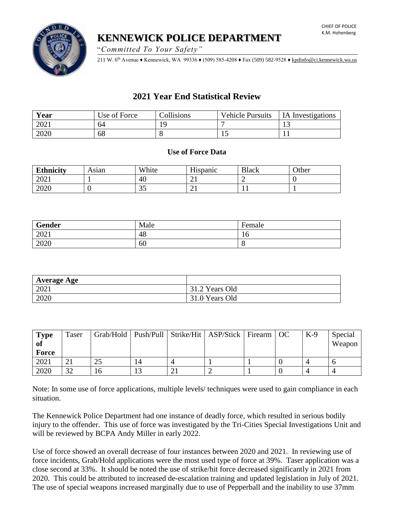**KENNEWICK POLICE DEPARTMENT**

"*Committed To Your Safety"*

211 W. 6th Avenue ♦ Kennewick, WA 99336 ♦ (509) 585-4208 ♦ Fax (509) 582-9528 [♦ kpdinfo@ci.kennewick.wa.us](mailto:kpdinfo@ci.kennewick.wa.us)

# **2021 Year End Statistical Review**

| Year | Use of Force | Collisions | <b>Vehicle Pursuits</b> | <b>IA</b> Investigations |
|------|--------------|------------|-------------------------|--------------------------|
| 2021 | 64           |            |                         | ⊥ື                       |
| 2020 | 68           |            | ∸                       |                          |

# **Use of Force Data**

| <b>Ethnicity</b> | Asıan | White     | Hispanic | <b>Black</b> | Other |
|------------------|-------|-----------|----------|--------------|-------|
| 2021             |       | 40        | ∸        |              |       |
| 2020             |       | າ ເ<br>JJ | ⊷        | . .          |       |

| Gender | Male | Female |
|--------|------|--------|
| 2021   | 48   | ΙU     |
| 2020   | 60   |        |

| Average Age |                |
|-------------|----------------|
| 2021        | 31.2 Years Old |
| 2020        | 31.0 Years Old |

| <b>Type</b><br>of | Taser |    |                | Grab/Hold   Push/Pull   Strike/Hit   ASP/Stick   Firearm   OC |  | $K-9$ | Special<br>Weapon |
|-------------------|-------|----|----------------|---------------------------------------------------------------|--|-------|-------------------|
| Force             |       |    |                |                                                               |  |       |                   |
| 2021              |       |    | $\overline{A}$ |                                                               |  |       |                   |
| 2020              | 32    | 16 |                |                                                               |  |       |                   |

Note: In some use of force applications, multiple levels/ techniques were used to gain compliance in each situation.

The Kennewick Police Department had one instance of deadly force, which resulted in serious bodily injury to the offender. This use of force was investigated by the Tri-Cities Special Investigations Unit and will be reviewed by BCPA Andy Miller in early 2022.

Use of force showed an overall decrease of four instances between 2020 and 2021. In reviewing use of force incidents, Grab/Hold applications were the most used type of force at 39%. Taser application was a close second at 33%. It should be noted the use of strike/hit force decreased significantly in 2021 from 2020. This could be attributed to increased de-escalation training and updated legislation in July of 2021. The use of special weapons increased marginally due to use of Pepperball and the inability to use 37mm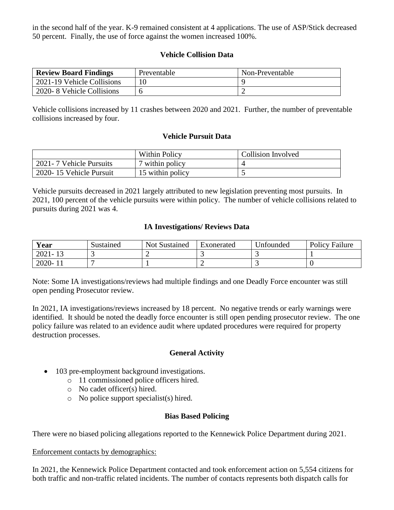in the second half of the year. K-9 remained consistent at 4 applications. The use of ASP/Stick decreased 50 percent. Finally, the use of force against the women increased 100%.

# **Vehicle Collision Data**

| <b>Review Board Findings</b> | Preventable | Non-Preventable |
|------------------------------|-------------|-----------------|
| 2021-19 Vehicle Collisions   |             |                 |
| 2020-8 Vehicle Collisions    |             |                 |

Vehicle collisions increased by 11 crashes between 2020 and 2021. Further, the number of preventable collisions increased by four.

## **Vehicle Pursuit Data**

|                           | <b>Within Policy</b> | <b>Collision Involved</b> |
|---------------------------|----------------------|---------------------------|
| 2021 - 7 Vehicle Pursuits | 7 within policy      |                           |
| 2020-15 Vehicle Pursuit   | 15 within policy     |                           |

Vehicle pursuits decreased in 2021 largely attributed to new legislation preventing most pursuits. In 2021, 100 percent of the vehicle pursuits were within policy. The number of vehicle collisions related to pursuits during 2021 was 4.

## **IA Investigations/ Reviews Data**

| Year        | Sustained | <b>Not Sustained</b> | Exonerated | <b><i><u>Infounded</u></i></b> | <b>Policy Failure</b> |
|-------------|-----------|----------------------|------------|--------------------------------|-----------------------|
| $2021 - 12$ |           |                      |            |                                |                       |
| $2020 - 1$  |           |                      |            |                                |                       |

Note: Some IA investigations/reviews had multiple findings and one Deadly Force encounter was still open pending Prosecutor review.

In 2021, IA investigations/reviews increased by 18 percent. No negative trends or early warnings were identified. It should be noted the deadly force encounter is still open pending prosecutor review. The one policy failure was related to an evidence audit where updated procedures were required for property destruction processes.

# **General Activity**

- 103 pre-employment background investigations.
	- o 11 commissioned police officers hired.
	- o No cadet officer(s) hired.
	- o No police support specialist(s) hired.

#### **Bias Based Policing**

There were no biased policing allegations reported to the Kennewick Police Department during 2021.

#### Enforcement contacts by demographics:

In 2021, the Kennewick Police Department contacted and took enforcement action on 5,554 citizens for both traffic and non-traffic related incidents. The number of contacts represents both dispatch calls for